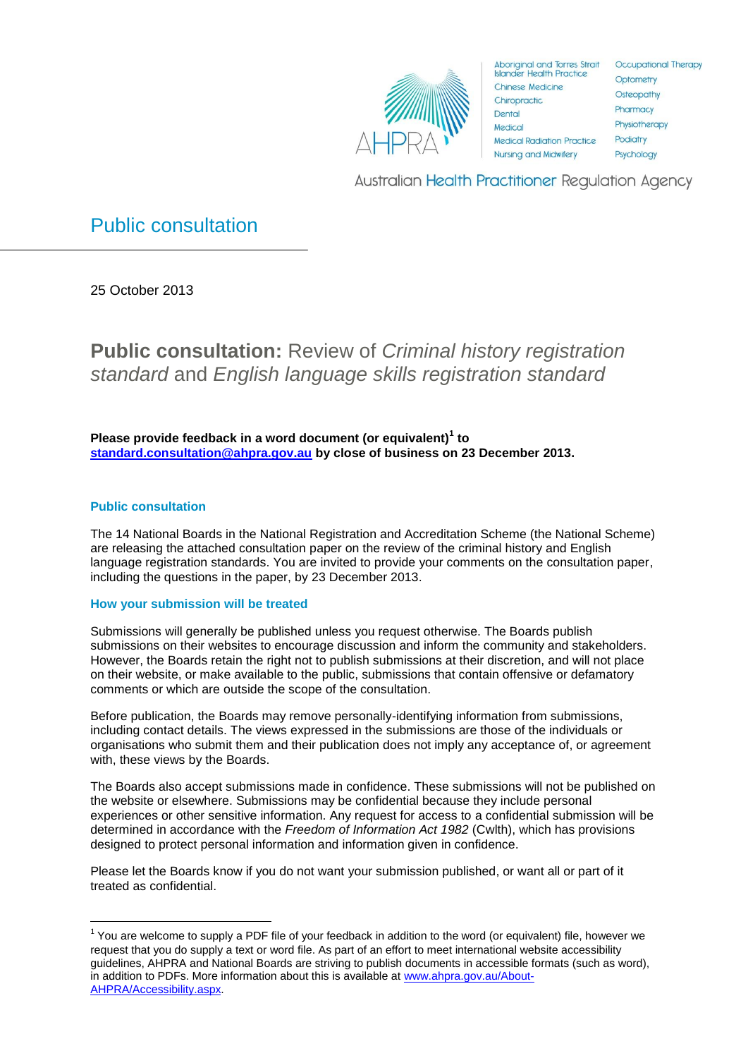

**Aboriginal and Torres Strait Islander Health Practice** Chinese Medicine Chiropractic Dental Medical **Medical Radiation Practice Nursing and Midwifery** 

**Occupational Therapy** Optometry Osteopathy Pharmacy Physiotherapy Podiatry Psychology

**Australian Health Practitioner Requlation Agency** 

# <span id="page-0-0"></span>Public consultation

25 October 2013

**Public consultation:** Review of *Criminal history registration standard* and *English language skills registration standard*

**Please provide feedback in a word document (or equivalent)<sup>1</sup> to [standard.consultation@ahpra.gov.au](mailto:standard.consultation@ahpra.gov.au) by close of business on 23 December 2013.**

# **Public consultation**

**.** 

The 14 National Boards in the National Registration and Accreditation Scheme (the National Scheme) are releasing the attached consultation paper on the review of the criminal history and English language registration standards. You are invited to provide your comments on the consultation paper, including the questions in the paper, by 23 December 2013.

# **How your submission will be treated**

Submissions will generally be published unless you request otherwise. The Boards publish submissions on their websites to encourage discussion and inform the community and stakeholders. However, the Boards retain the right not to publish submissions at their discretion, and will not place on their website, or make available to the public, submissions that contain offensive or defamatory comments or which are outside the scope of the consultation.

Before publication, the Boards may remove personally-identifying information from submissions, including contact details. The views expressed in the submissions are those of the individuals or organisations who submit them and their publication does not imply any acceptance of, or agreement with, these views by the Boards.

The Boards also accept submissions made in confidence. These submissions will not be published on the website or elsewhere. Submissions may be confidential because they include personal experiences or other sensitive information. Any request for access to a confidential submission will be determined in accordance with the *Freedom of Information Act 1982* (Cwlth), which has provisions designed to protect personal information and information given in confidence.

Please let the Boards know if you do not want your submission published, or want all or part of it treated as confidential.

 $1$  You are welcome to supply a PDF file of your feedback in addition to the word (or equivalent) file, however we request that you do supply a text or word file. As part of an effort to meet international website accessibility guidelines, AHPRA and National Boards are striving to publish documents in accessible formats (such as word), in addition to PDFs. More information about this is available at [www.ahpra.gov.au/About-](http://www.ahpra.gov.au/About-AHPRA/Accessibility.aspx)[AHPRA/Accessibility.aspx.](http://www.ahpra.gov.au/About-AHPRA/Accessibility.aspx)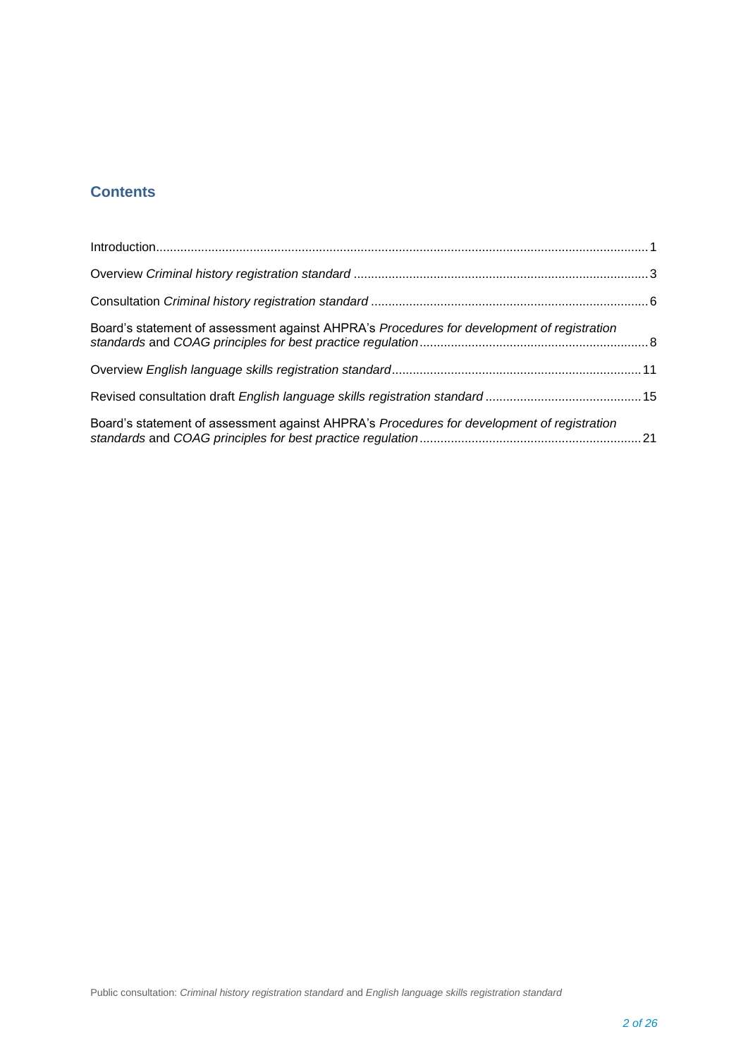# **Contents**

| Board's statement of assessment against AHPRA's Procedures for development of registration |  |
|--------------------------------------------------------------------------------------------|--|
|                                                                                            |  |
|                                                                                            |  |
| Board's statement of assessment against AHPRA's Procedures for development of registration |  |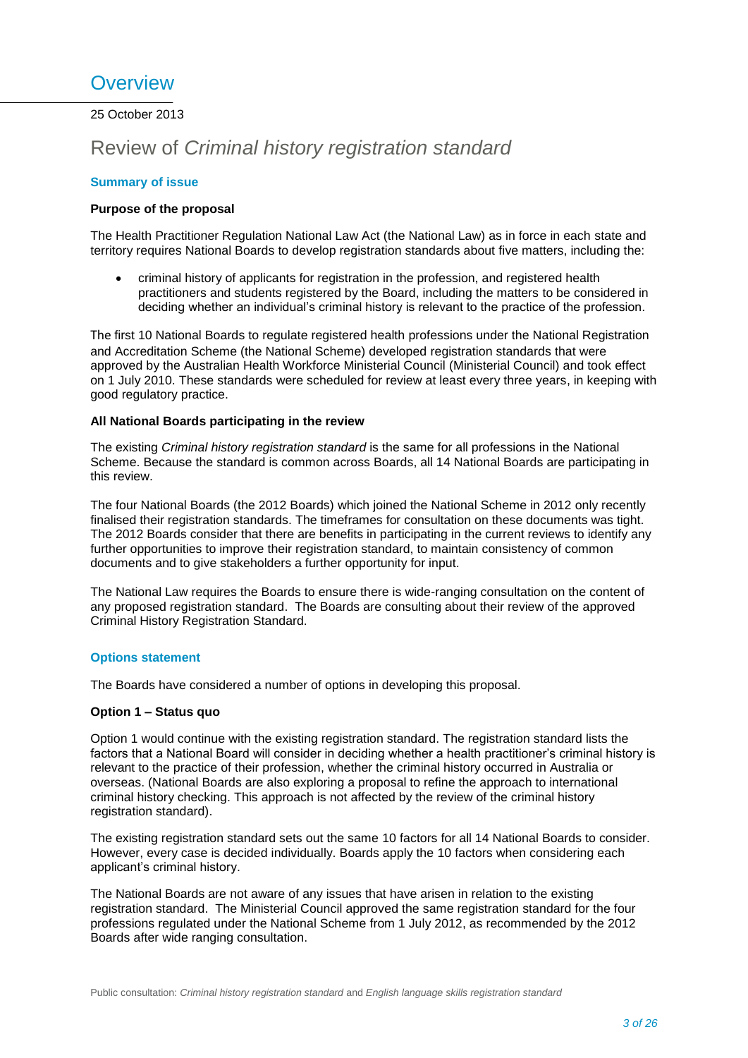# <span id="page-2-0"></span>**Overview**

25 October 2013

# Review of *Criminal history registration standard*

# **Summary of issue**

# **Purpose of the proposal**

The Health Practitioner Regulation National Law Act (the National Law) as in force in each state and territory requires National Boards to develop registration standards about five matters, including the:

 criminal history of applicants for registration in the profession, and registered health practitioners and students registered by the Board, including the matters to be considered in deciding whether an individual's criminal history is relevant to the practice of the profession.

The first 10 National Boards to regulate registered health professions under the National Registration and Accreditation Scheme (the National Scheme) developed registration standards that were approved by the Australian Health Workforce Ministerial Council (Ministerial Council) and took effect on 1 July 2010. These standards were scheduled for review at least every three years, in keeping with good regulatory practice.

# **All National Boards participating in the review**

The existing *Criminal history registration standard* is the same for all professions in the National Scheme. Because the standard is common across Boards, all 14 National Boards are participating in this review.

The four National Boards (the 2012 Boards) which joined the National Scheme in 2012 only recently finalised their registration standards. The timeframes for consultation on these documents was tight. The 2012 Boards consider that there are benefits in participating in the current reviews to identify any further opportunities to improve their registration standard, to maintain consistency of common documents and to give stakeholders a further opportunity for input.

The National Law requires the Boards to ensure there is wide-ranging consultation on the content of any proposed registration standard. The Boards are consulting about their review of the approved Criminal History Registration Standard.

#### **Options statement**

The Boards have considered a number of options in developing this proposal.

#### **Option 1 – Status quo**

Option 1 would continue with the existing registration standard. The registration standard lists the factors that a National Board will consider in deciding whether a health practitioner's criminal history is relevant to the practice of their profession, whether the criminal history occurred in Australia or overseas. (National Boards are also exploring a proposal to refine the approach to international criminal history checking. This approach is not affected by the review of the criminal history registration standard).

The existing registration standard sets out the same 10 factors for all 14 National Boards to consider. However, every case is decided individually. Boards apply the 10 factors when considering each applicant's criminal history.

The National Boards are not aware of any issues that have arisen in relation to the existing registration standard. The Ministerial Council approved the same registration standard for the four professions regulated under the National Scheme from 1 July 2012, as recommended by the 2012 Boards after wide ranging consultation.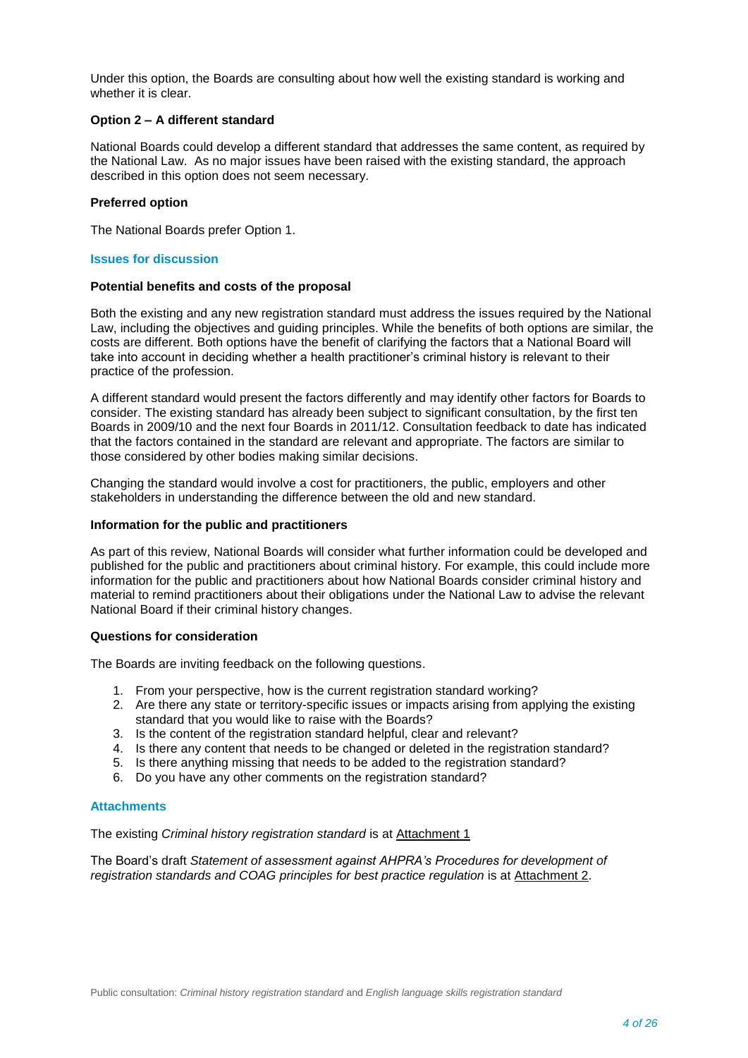Under this option, the Boards are consulting about how well the existing standard is working and whether it is clear.

### **Option 2 – A different standard**

National Boards could develop a different standard that addresses the same content, as required by the National Law. As no major issues have been raised with the existing standard, the approach described in this option does not seem necessary.

# **Preferred option**

The National Boards prefer Option 1.

#### **Issues for discussion**

#### **Potential benefits and costs of the proposal**

Both the existing and any new registration standard must address the issues required by the National Law, including the objectives and guiding principles. While the benefits of both options are similar, the costs are different. Both options have the benefit of clarifying the factors that a National Board will take into account in deciding whether a health practitioner's criminal history is relevant to their practice of the profession.

A different standard would present the factors differently and may identify other factors for Boards to consider. The existing standard has already been subject to significant consultation, by the first ten Boards in 2009/10 and the next four Boards in 2011/12. Consultation feedback to date has indicated that the factors contained in the standard are relevant and appropriate. The factors are similar to those considered by other bodies making similar decisions.

Changing the standard would involve a cost for practitioners, the public, employers and other stakeholders in understanding the difference between the old and new standard.

### **Information for the public and practitioners**

As part of this review, National Boards will consider what further information could be developed and published for the public and practitioners about criminal history. For example, this could include more information for the public and practitioners about how National Boards consider criminal history and material to remind practitioners about their obligations under the National Law to advise the relevant National Board if their criminal history changes.

#### **Questions for consideration**

The Boards are inviting feedback on the following questions.

- 1. From your perspective, how is the current registration standard working?
- 2. Are there any state or territory-specific issues or impacts arising from applying the existing standard that you would like to raise with the Boards?
- 3. Is the content of the registration standard helpful, clear and relevant?
- 4. Is there any content that needs to be changed or deleted in the registration standard?
- 5. Is there anything missing that needs to be added to the registration standard?
- 6. Do you have any other comments on the registration standard?

#### **Attachments**

The existing *Criminal history registration standard* is at Attachment 1

The Board's draft *Statement of assessment against AHPRA's Procedures for development of registration standards and COAG principles for best practice regulation* is at Attachment 2.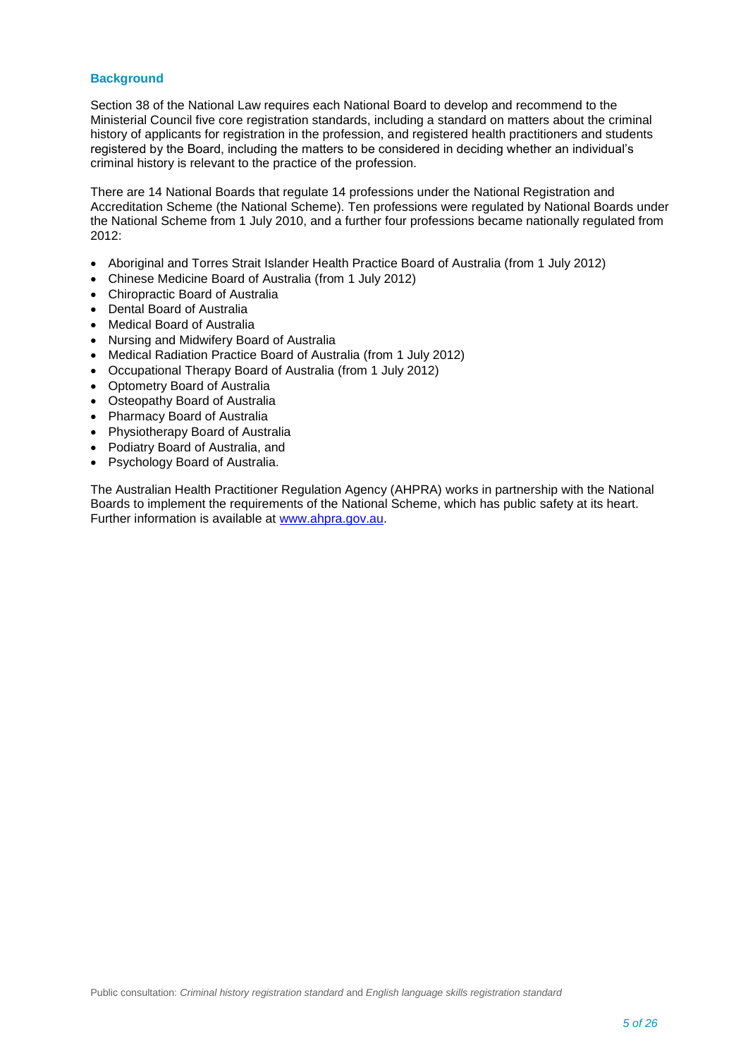# **Background**

Section 38 of the National Law requires each National Board to develop and recommend to the Ministerial Council five core registration standards, including a standard on matters about the criminal history of applicants for registration in the profession, and registered health practitioners and students registered by the Board, including the matters to be considered in deciding whether an individual's criminal history is relevant to the practice of the profession.

There are 14 National Boards that regulate 14 professions under the National Registration and Accreditation Scheme (the National Scheme). Ten professions were regulated by National Boards under the National Scheme from 1 July 2010, and a further four professions became nationally regulated from 2012:

- Aboriginal and Torres Strait Islander Health Practice Board of Australia (from 1 July 2012)
- Chinese Medicine Board of Australia (from 1 July 2012)
- Chiropractic Board of Australia
- Dental Board of Australia
- Medical Board of Australia
- Nursing and Midwifery Board of Australia
- Medical Radiation Practice Board of Australia (from 1 July 2012)
- Occupational Therapy Board of Australia (from 1 July 2012)
- Optometry Board of Australia
- Osteopathy Board of Australia
- Pharmacy Board of Australia
- Physiotherapy Board of Australia
- Podiatry Board of Australia, and
- Psychology Board of Australia.

The Australian Health Practitioner Regulation Agency (AHPRA) works in partnership with the National Boards to implement the requirements of the National Scheme, which has public safety at its heart. Further information is available at [www.ahpra.gov.au.](http://www.ahpra.gov.au/)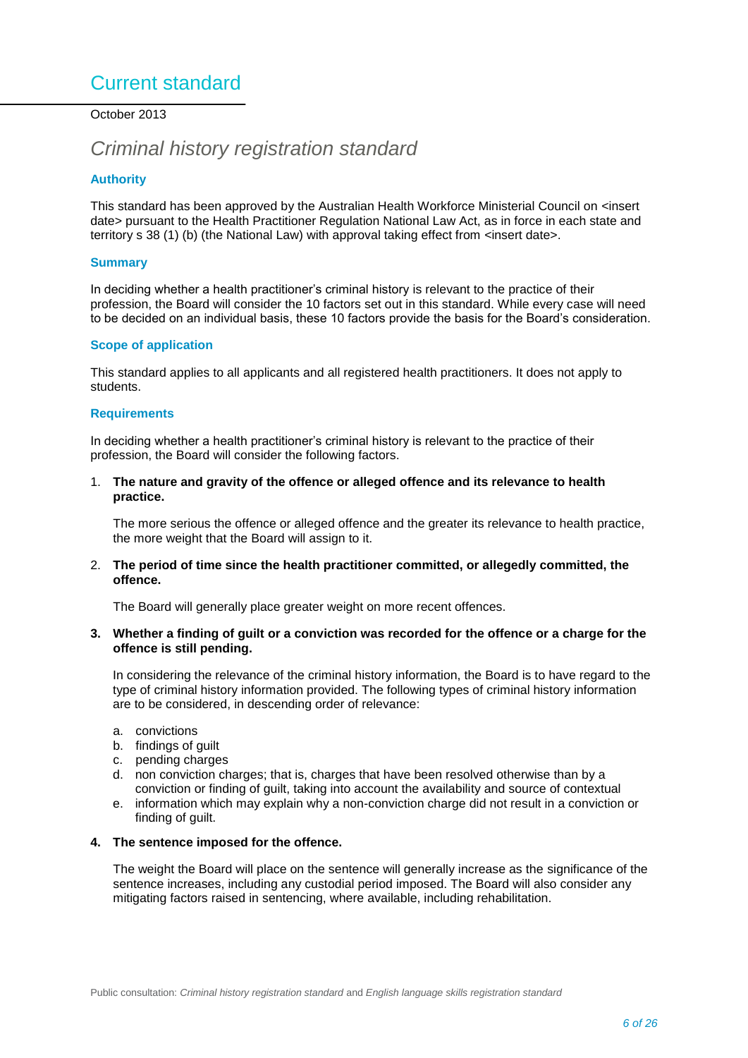# <span id="page-5-0"></span>Current standard

October 2013

# *Criminal history registration standard*

# **Authority**

This standard has been approved by the Australian Health Workforce Ministerial Council on <insert date> pursuant to the Health Practitioner Regulation National Law Act, as in force in each state and territory s 38 (1) (b) (the National Law) with approval taking effect from  $\alpha$  insert date >.

# **Summary**

In deciding whether a health practitioner's criminal history is relevant to the practice of their profession, the Board will consider the 10 factors set out in this standard. While every case will need to be decided on an individual basis, these 10 factors provide the basis for the Board's consideration.

# **Scope of application**

This standard applies to all applicants and all registered health practitioners. It does not apply to students.

# **Requirements**

In deciding whether a health practitioner's criminal history is relevant to the practice of their profession, the Board will consider the following factors.

1. **The nature and gravity of the offence or alleged offence and its relevance to health practice.**

The more serious the offence or alleged offence and the greater its relevance to health practice, the more weight that the Board will assign to it.

2. **The period of time since the health practitioner committed, or allegedly committed, the offence.**

The Board will generally place greater weight on more recent offences.

**3. Whether a finding of guilt or a conviction was recorded for the offence or a charge for the offence is still pending.**

In considering the relevance of the criminal history information, the Board is to have regard to the type of criminal history information provided. The following types of criminal history information are to be considered, in descending order of relevance:

- a. convictions
- b. findings of guilt
- c. pending charges
- d. non conviction charges; that is, charges that have been resolved otherwise than by a conviction or finding of guilt, taking into account the availability and source of contextual
- e. information which may explain why a non-conviction charge did not result in a conviction or finding of guilt.

#### **4. The sentence imposed for the offence.**

The weight the Board will place on the sentence will generally increase as the significance of the sentence increases, including any custodial period imposed. The Board will also consider any mitigating factors raised in sentencing, where available, including rehabilitation.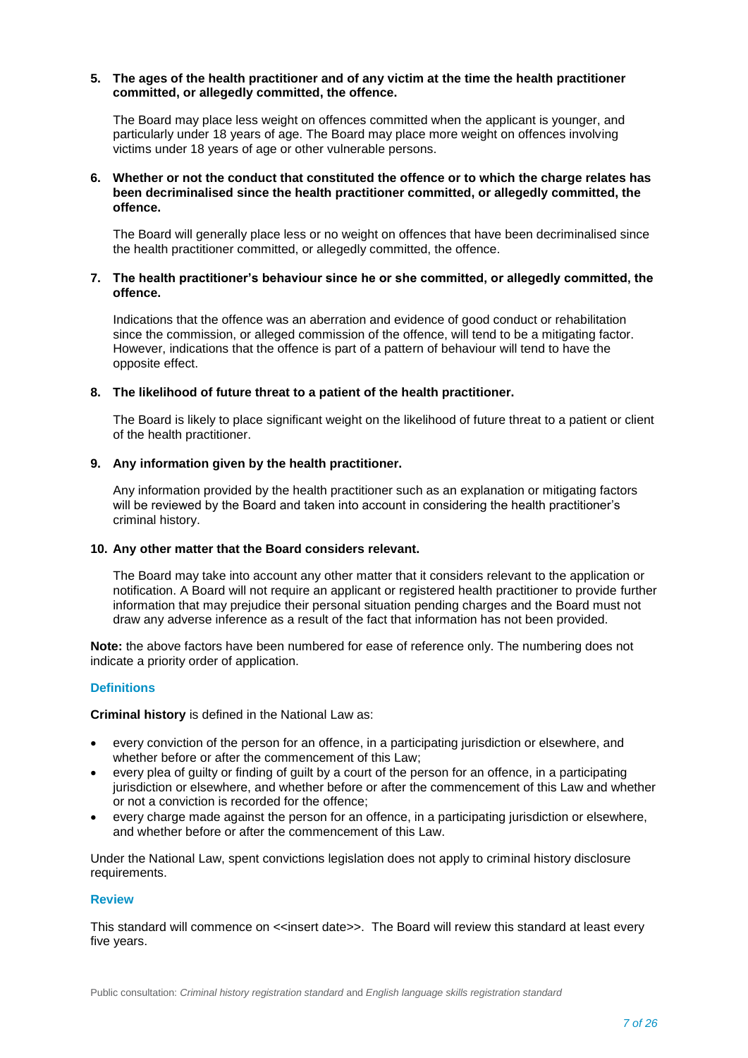#### **5. The ages of the health practitioner and of any victim at the time the health practitioner committed, or allegedly committed, the offence.**

The Board may place less weight on offences committed when the applicant is younger, and particularly under 18 years of age. The Board may place more weight on offences involving victims under 18 years of age or other vulnerable persons.

### **6. Whether or not the conduct that constituted the offence or to which the charge relates has been decriminalised since the health practitioner committed, or allegedly committed, the offence.**

The Board will generally place less or no weight on offences that have been decriminalised since the health practitioner committed, or allegedly committed, the offence.

### **7. The health practitioner's behaviour since he or she committed, or allegedly committed, the offence.**

Indications that the offence was an aberration and evidence of good conduct or rehabilitation since the commission, or alleged commission of the offence, will tend to be a mitigating factor. However, indications that the offence is part of a pattern of behaviour will tend to have the opposite effect.

#### **8. The likelihood of future threat to a patient of the health practitioner.**

The Board is likely to place significant weight on the likelihood of future threat to a patient or client of the health practitioner.

# **9. Any information given by the health practitioner.**

Any information provided by the health practitioner such as an explanation or mitigating factors will be reviewed by the Board and taken into account in considering the health practitioner's criminal history.

# **10. Any other matter that the Board considers relevant.**

The Board may take into account any other matter that it considers relevant to the application or notification. A Board will not require an applicant or registered health practitioner to provide further information that may prejudice their personal situation pending charges and the Board must not draw any adverse inference as a result of the fact that information has not been provided.

**Note:** the above factors have been numbered for ease of reference only. The numbering does not indicate a priority order of application.

#### **Definitions**

**Criminal history** is defined in the National Law as:

- every conviction of the person for an offence, in a participating jurisdiction or elsewhere, and whether before or after the commencement of this Law;
- every plea of guilty or finding of guilt by a court of the person for an offence, in a participating jurisdiction or elsewhere, and whether before or after the commencement of this Law and whether or not a conviction is recorded for the offence;
- every charge made against the person for an offence, in a participating jurisdiction or elsewhere, and whether before or after the commencement of this Law.

Under the National Law, spent convictions legislation does not apply to criminal history disclosure requirements.

#### **Review**

This standard will commence on <<insert date>>. The Board will review this standard at least every five years.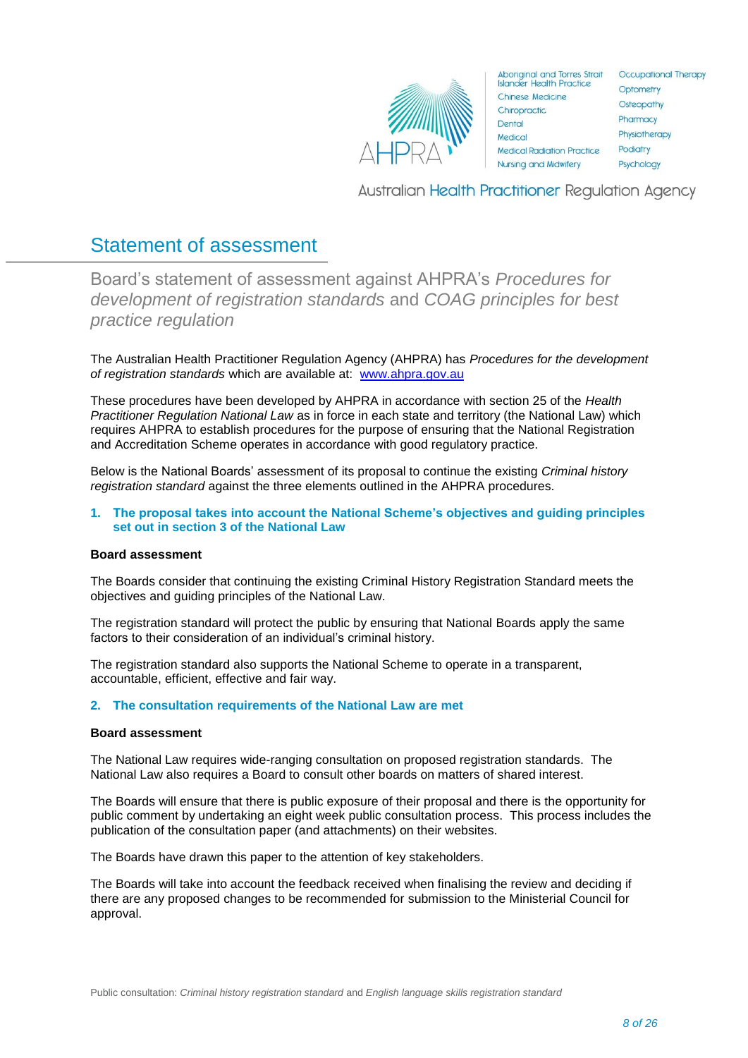

**Aboriginal and Torres Strait Islander Health Practice** Chinese Medicine Chiropractic. Dental Medical **Medical Radiation Practice** Nursing and Midwifery

**Occupational Therapy** Optometry Osteopathy Pharmacy Physiotherapy Podiatry Psychology

**Australian Health Practitioner Regulation Agency** 

# Statement of assessment

<span id="page-7-0"></span>Board's statement of assessment against AHPRA's *Procedures for development of registration standards* and *COAG principles for best practice regulation*

The Australian Health Practitioner Regulation Agency (AHPRA) has *Procedures for the development of registration standards* which are available at: [www.ahpra.gov.au](http://www.ahpra.gov.au/)

These procedures have been developed by AHPRA in accordance with section 25 of the *Health Practitioner Regulation National Law* as in force in each state and territory (the National Law) which requires AHPRA to establish procedures for the purpose of ensuring that the National Registration and Accreditation Scheme operates in accordance with good regulatory practice.

Below is the National Boards' assessment of its proposal to continue the existing *Criminal history registration standard* against the three elements outlined in the AHPRA procedures.

### **1. The proposal takes into account the National Scheme's objectives and guiding principles set out in section 3 of the National Law**

#### **Board assessment**

The Boards consider that continuing the existing Criminal History Registration Standard meets the objectives and guiding principles of the National Law.

The registration standard will protect the public by ensuring that National Boards apply the same factors to their consideration of an individual's criminal history.

The registration standard also supports the National Scheme to operate in a transparent, accountable, efficient, effective and fair way.

#### **2. The consultation requirements of the National Law are met**

#### **Board assessment**

The National Law requires wide-ranging consultation on proposed registration standards. The National Law also requires a Board to consult other boards on matters of shared interest.

The Boards will ensure that there is public exposure of their proposal and there is the opportunity for public comment by undertaking an eight week public consultation process. This process includes the publication of the consultation paper (and attachments) on their websites.

The Boards have drawn this paper to the attention of key stakeholders.

The Boards will take into account the feedback received when finalising the review and deciding if there are any proposed changes to be recommended for submission to the Ministerial Council for approval.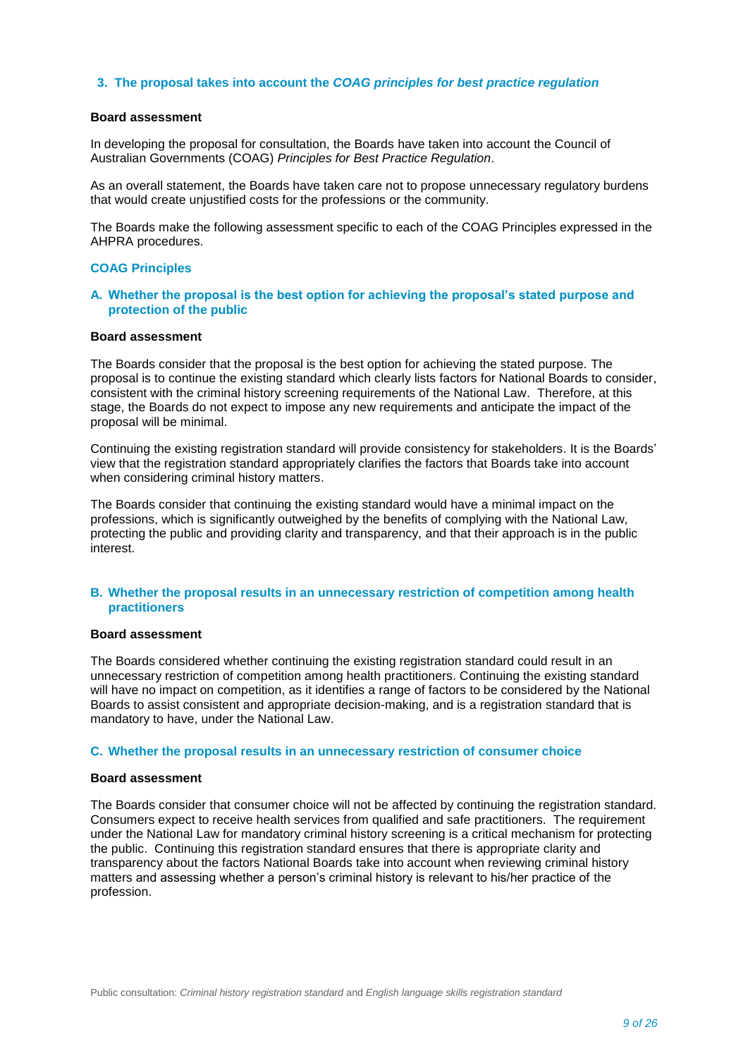#### **3. The proposal takes into account the** *COAG principles for best practice regulation*

## **Board assessment**

In developing the proposal for consultation, the Boards have taken into account the Council of Australian Governments (COAG) *Principles for Best Practice Regulation*.

As an overall statement, the Boards have taken care not to propose unnecessary regulatory burdens that would create unjustified costs for the professions or the community.

The Boards make the following assessment specific to each of the COAG Principles expressed in the AHPRA procedures.

#### **COAG Principles**

### **A. Whether the proposal is the best option for achieving the proposal's stated purpose and protection of the public**

### **Board assessment**

The Boards consider that the proposal is the best option for achieving the stated purpose. The proposal is to continue the existing standard which clearly lists factors for National Boards to consider, consistent with the criminal history screening requirements of the National Law. Therefore, at this stage, the Boards do not expect to impose any new requirements and anticipate the impact of the proposal will be minimal.

Continuing the existing registration standard will provide consistency for stakeholders. It is the Boards' view that the registration standard appropriately clarifies the factors that Boards take into account when considering criminal history matters.

The Boards consider that continuing the existing standard would have a minimal impact on the professions, which is significantly outweighed by the benefits of complying with the National Law, protecting the public and providing clarity and transparency, and that their approach is in the public interest.

#### **B. Whether the proposal results in an unnecessary restriction of competition among health practitioners**

#### **Board assessment**

The Boards considered whether continuing the existing registration standard could result in an unnecessary restriction of competition among health practitioners. Continuing the existing standard will have no impact on competition, as it identifies a range of factors to be considered by the National Boards to assist consistent and appropriate decision-making, and is a registration standard that is mandatory to have, under the National Law.

#### **C. Whether the proposal results in an unnecessary restriction of consumer choice**

#### **Board assessment**

The Boards consider that consumer choice will not be affected by continuing the registration standard. Consumers expect to receive health services from qualified and safe practitioners. The requirement under the National Law for mandatory criminal history screening is a critical mechanism for protecting the public. Continuing this registration standard ensures that there is appropriate clarity and transparency about the factors National Boards take into account when reviewing criminal history matters and assessing whether a person's criminal history is relevant to his/her practice of the profession.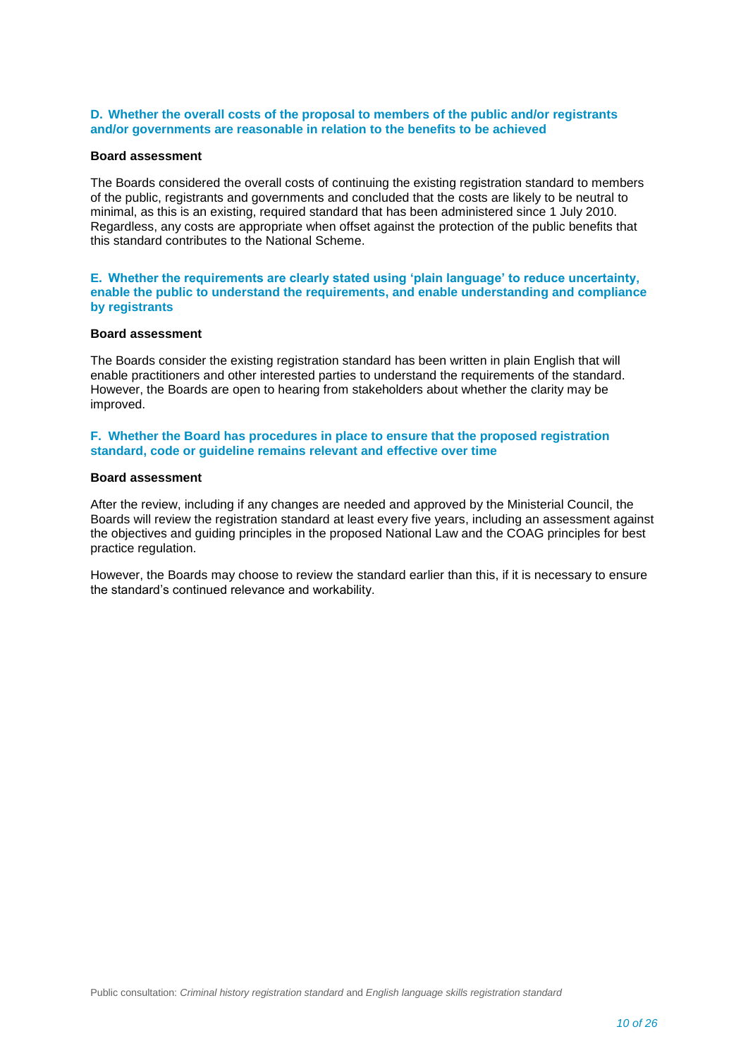# **D. Whether the overall costs of the proposal to members of the public and/or registrants and/or governments are reasonable in relation to the benefits to be achieved**

#### **Board assessment**

The Boards considered the overall costs of continuing the existing registration standard to members of the public, registrants and governments and concluded that the costs are likely to be neutral to minimal, as this is an existing, required standard that has been administered since 1 July 2010. Regardless, any costs are appropriate when offset against the protection of the public benefits that this standard contributes to the National Scheme.

#### **E. Whether the requirements are clearly stated using 'plain language' to reduce uncertainty, enable the public to understand the requirements, and enable understanding and compliance by registrants**

#### **Board assessment**

The Boards consider the existing registration standard has been written in plain English that will enable practitioners and other interested parties to understand the requirements of the standard. However, the Boards are open to hearing from stakeholders about whether the clarity may be improved.

### **F. Whether the Board has procedures in place to ensure that the proposed registration standard, code or guideline remains relevant and effective over time**

# **Board assessment**

After the review, including if any changes are needed and approved by the Ministerial Council, the Boards will review the registration standard at least every five years, including an assessment against the objectives and guiding principles in the proposed National Law and the COAG principles for best practice regulation.

However, the Boards may choose to review the standard earlier than this, if it is necessary to ensure the standard's continued relevance and workability.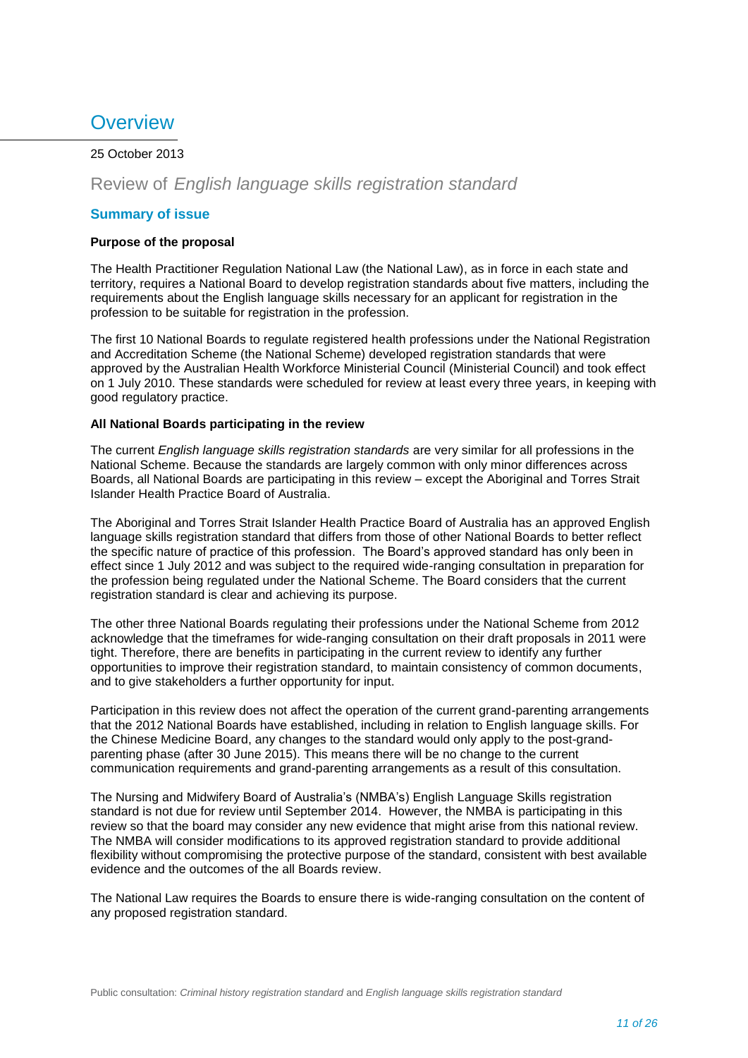# <span id="page-10-0"></span>**Overview**

# 25 October 2013

# Review of *English language skills registration standard*

# **Summary of issue**

### **Purpose of the proposal**

The Health Practitioner Regulation National Law (the National Law), as in force in each state and territory, requires a National Board to develop registration standards about five matters, including the requirements about the English language skills necessary for an applicant for registration in the profession to be suitable for registration in the profession.

The first 10 National Boards to regulate registered health professions under the National Registration and Accreditation Scheme (the National Scheme) developed registration standards that were approved by the Australian Health Workforce Ministerial Council (Ministerial Council) and took effect on 1 July 2010. These standards were scheduled for review at least every three years, in keeping with good regulatory practice.

# **All National Boards participating in the review**

The current *English language skills registration standards* are very similar for all professions in the National Scheme. Because the standards are largely common with only minor differences across Boards, all National Boards are participating in this review – except the Aboriginal and Torres Strait Islander Health Practice Board of Australia.

The Aboriginal and Torres Strait Islander Health Practice Board of Australia has an approved English language skills registration standard that differs from those of other National Boards to better reflect the specific nature of practice of this profession. The Board's approved standard has only been in effect since 1 July 2012 and was subject to the required wide-ranging consultation in preparation for the profession being regulated under the National Scheme. The Board considers that the current registration standard is clear and achieving its purpose.

The other three National Boards regulating their professions under the National Scheme from 2012 acknowledge that the timeframes for wide-ranging consultation on their draft proposals in 2011 were tight. Therefore, there are benefits in participating in the current review to identify any further opportunities to improve their registration standard, to maintain consistency of common documents, and to give stakeholders a further opportunity for input.

Participation in this review does not affect the operation of the current grand-parenting arrangements that the 2012 National Boards have established, including in relation to English language skills. For the Chinese Medicine Board, any changes to the standard would only apply to the post-grandparenting phase (after 30 June 2015). This means there will be no change to the current communication requirements and grand-parenting arrangements as a result of this consultation.

The Nursing and Midwifery Board of Australia's (NMBA's) English Language Skills registration standard is not due for review until September 2014. However, the NMBA is participating in this review so that the board may consider any new evidence that might arise from this national review. The NMBA will consider modifications to its approved registration standard to provide additional flexibility without compromising the protective purpose of the standard, consistent with best available evidence and the outcomes of the all Boards review.

The National Law requires the Boards to ensure there is wide-ranging consultation on the content of any proposed registration standard.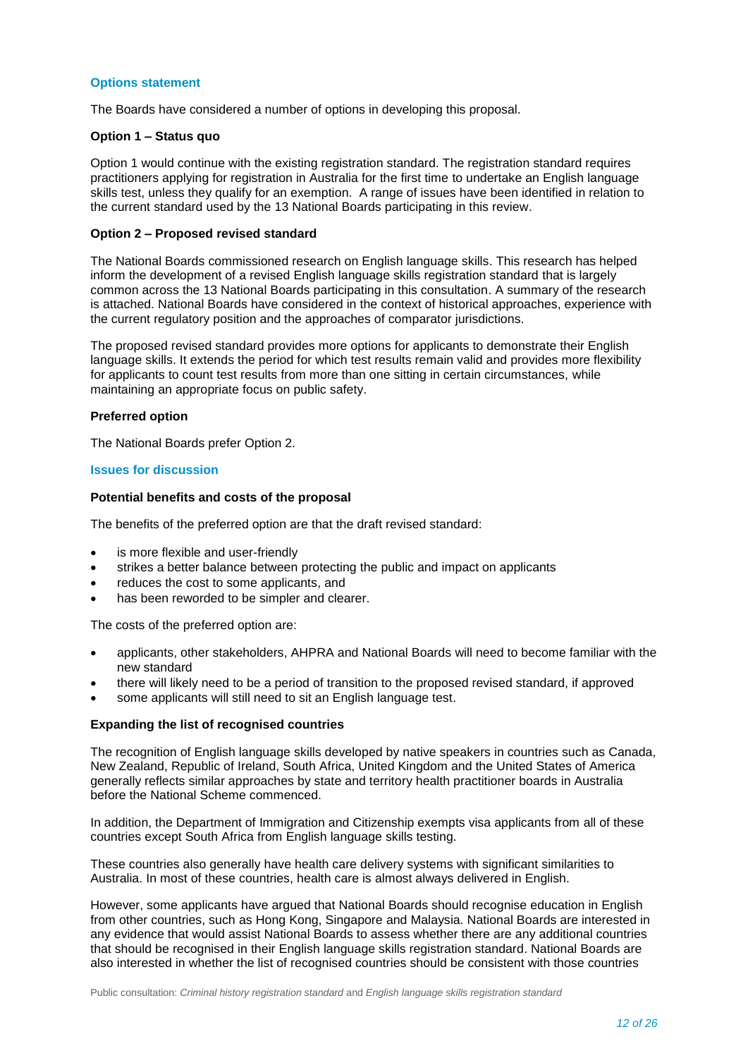### **Options statement**

The Boards have considered a number of options in developing this proposal.

#### **Option 1 – Status quo**

Option 1 would continue with the existing registration standard. The registration standard requires practitioners applying for registration in Australia for the first time to undertake an English language skills test, unless they qualify for an exemption. A range of issues have been identified in relation to the current standard used by the 13 National Boards participating in this review.

# **Option 2 – Proposed revised standard**

The National Boards commissioned research on English language skills. This research has helped inform the development of a revised English language skills registration standard that is largely common across the 13 National Boards participating in this consultation. A summary of the research is attached. National Boards have considered in the context of historical approaches, experience with the current regulatory position and the approaches of comparator jurisdictions.

The proposed revised standard provides more options for applicants to demonstrate their English language skills. It extends the period for which test results remain valid and provides more flexibility for applicants to count test results from more than one sitting in certain circumstances, while maintaining an appropriate focus on public safety.

#### **Preferred option**

The National Boards prefer Option 2.

#### **Issues for discussion**

#### **Potential benefits and costs of the proposal**

The benefits of the preferred option are that the draft revised standard:

- is more flexible and user-friendly
- strikes a better balance between protecting the public and impact on applicants
- reduces the cost to some applicants, and
- has been reworded to be simpler and clearer.

The costs of the preferred option are:

- applicants, other stakeholders, AHPRA and National Boards will need to become familiar with the new standard
- there will likely need to be a period of transition to the proposed revised standard, if approved
- some applicants will still need to sit an English language test.

# **Expanding the list of recognised countries**

The recognition of English language skills developed by native speakers in countries such as Canada, New Zealand, Republic of Ireland, South Africa, United Kingdom and the United States of America generally reflects similar approaches by state and territory health practitioner boards in Australia before the National Scheme commenced.

In addition, the Department of Immigration and Citizenship exempts visa applicants from all of these countries except South Africa from English language skills testing.

These countries also generally have health care delivery systems with significant similarities to Australia. In most of these countries, health care is almost always delivered in English.

However, some applicants have argued that National Boards should recognise education in English from other countries, such as Hong Kong, Singapore and Malaysia. National Boards are interested in any evidence that would assist National Boards to assess whether there are any additional countries that should be recognised in their English language skills registration standard. National Boards are also interested in whether the list of recognised countries should be consistent with those countries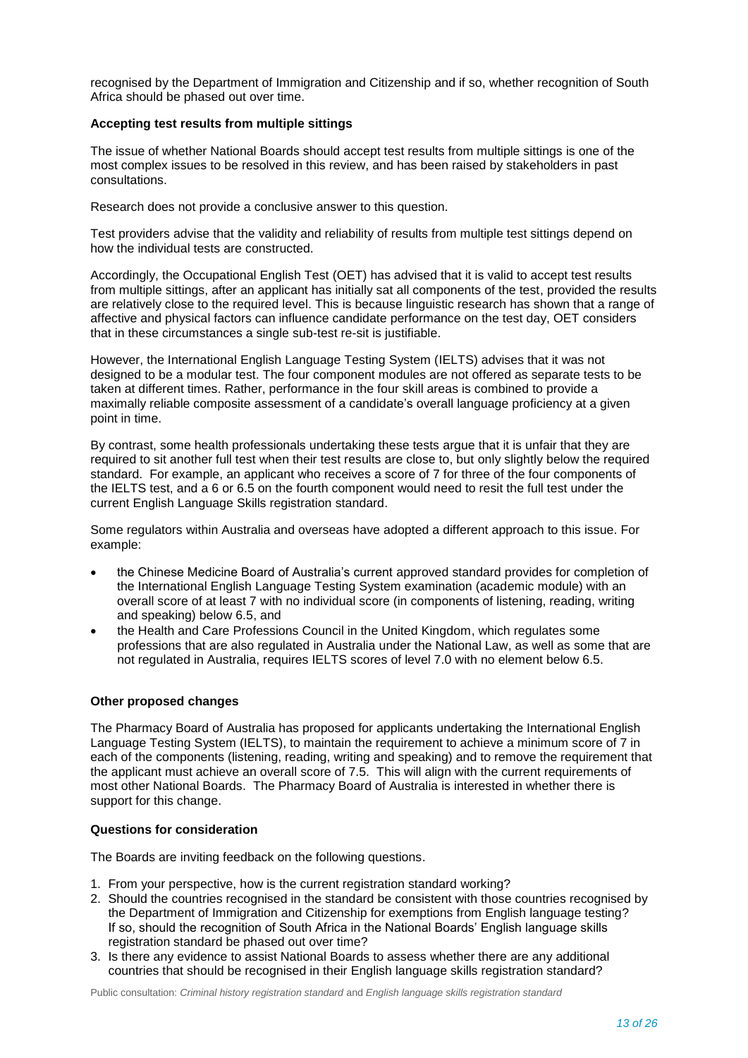recognised by the Department of Immigration and Citizenship and if so, whether recognition of South Africa should be phased out over time.

### **Accepting test results from multiple sittings**

The issue of whether National Boards should accept test results from multiple sittings is one of the most complex issues to be resolved in this review, and has been raised by stakeholders in past consultations.

Research does not provide a conclusive answer to this question.

Test providers advise that the validity and reliability of results from multiple test sittings depend on how the individual tests are constructed.

Accordingly, the Occupational English Test (OET) has advised that it is valid to accept test results from multiple sittings, after an applicant has initially sat all components of the test, provided the results are relatively close to the required level. This is because linguistic research has shown that a range of affective and physical factors can influence candidate performance on the test day, OET considers that in these circumstances a single sub-test re-sit is justifiable.

However, the International English Language Testing System (IELTS) advises that it was not designed to be a modular test. The four component modules are not offered as separate tests to be taken at different times. Rather, performance in the four skill areas is combined to provide a maximally reliable composite assessment of a candidate's overall language proficiency at a given point in time.

By contrast, some health professionals undertaking these tests argue that it is unfair that they are required to sit another full test when their test results are close to, but only slightly below the required standard. For example, an applicant who receives a score of 7 for three of the four components of the IELTS test, and a 6 or 6.5 on the fourth component would need to resit the full test under the current English Language Skills registration standard.

Some regulators within Australia and overseas have adopted a different approach to this issue. For example:

- the Chinese Medicine Board of Australia's current approved standard provides for completion of the International English Language Testing System examination (academic module) with an overall score of at least 7 with no individual score (in components of listening, reading, writing and speaking) below 6.5, and
- the Health and Care Professions Council in the United Kingdom, which regulates some professions that are also regulated in Australia under the National Law, as well as some that are not regulated in Australia, requires IELTS scores of level 7.0 with no element below 6.5.

# **Other proposed changes**

The Pharmacy Board of Australia has proposed for applicants undertaking the International English Language Testing System (IELTS), to maintain the requirement to achieve a minimum score of 7 in each of the components (listening, reading, writing and speaking) and to remove the requirement that the applicant must achieve an overall score of 7.5. This will align with the current requirements of most other National Boards. The Pharmacy Board of Australia is interested in whether there is support for this change.

# **Questions for consideration**

The Boards are inviting feedback on the following questions.

- 1. From your perspective, how is the current registration standard working?
- 2. Should the countries recognised in the standard be consistent with those countries recognised by the Department of Immigration and Citizenship for exemptions from English language testing? If so, should the recognition of South Africa in the National Boards' English language skills registration standard be phased out over time?
- 3. Is there any evidence to assist National Boards to assess whether there are any additional countries that should be recognised in their English language skills registration standard?

Public consultation: *Criminal history registration standard* and *English language skills registration standard*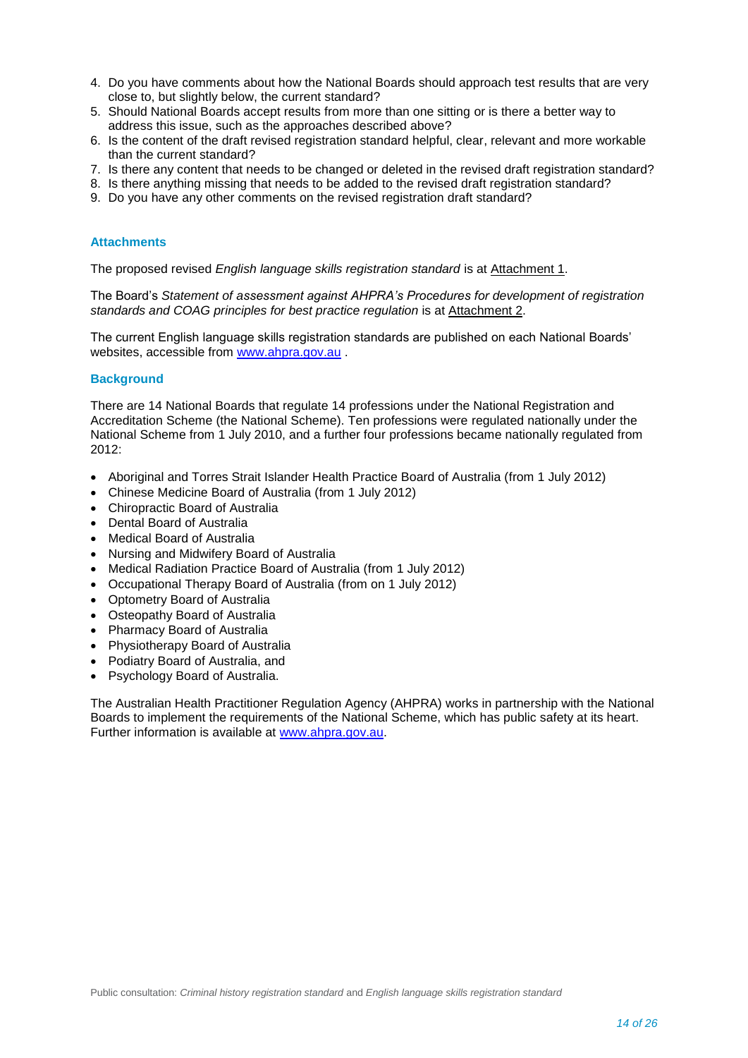- 4. Do you have comments about how the National Boards should approach test results that are very close to, but slightly below, the current standard?
- 5. Should National Boards accept results from more than one sitting or is there a better way to address this issue, such as the approaches described above?
- 6. Is the content of the draft revised registration standard helpful, clear, relevant and more workable than the current standard?
- 7. Is there any content that needs to be changed or deleted in the revised draft registration standard?
- 8. Is there anything missing that needs to be added to the revised draft registration standard?
- 9. Do you have any other comments on the revised registration draft standard?

#### **Attachments**

The proposed revised *English language skills registration standard* is at Attachment 1.

The Board's *Statement of assessment against AHPRA's Procedures for development of registration standards and COAG principles for best practice regulation* is at Attachment 2.

The current English language skills registration standards are published on each National Boards' websites, accessible from [www.ahpra.gov.au](http://www.ahpra.gov.au/)

# **Background**

There are 14 National Boards that regulate 14 professions under the National Registration and Accreditation Scheme (the National Scheme). Ten professions were regulated nationally under the National Scheme from 1 July 2010, and a further four professions became nationally regulated from 2012:

- Aboriginal and Torres Strait Islander Health Practice Board of Australia (from 1 July 2012)
- Chinese Medicine Board of Australia (from 1 July 2012)
- Chiropractic Board of Australia
- Dental Board of Australia
- Medical Board of Australia
- Nursing and Midwifery Board of Australia
- Medical Radiation Practice Board of Australia (from 1 July 2012)
- Occupational Therapy Board of Australia (from on 1 July 2012)
- Optometry Board of Australia
- Osteopathy Board of Australia
- Pharmacy Board of Australia
- Physiotherapy Board of Australia
- Podiatry Board of Australia, and
- Psychology Board of Australia.

The Australian Health Practitioner Regulation Agency (AHPRA) works in partnership with the National Boards to implement the requirements of the National Scheme, which has public safety at its heart. Further information is available at [www.ahpra.gov.au.](http://www.ahpra.gov.au/)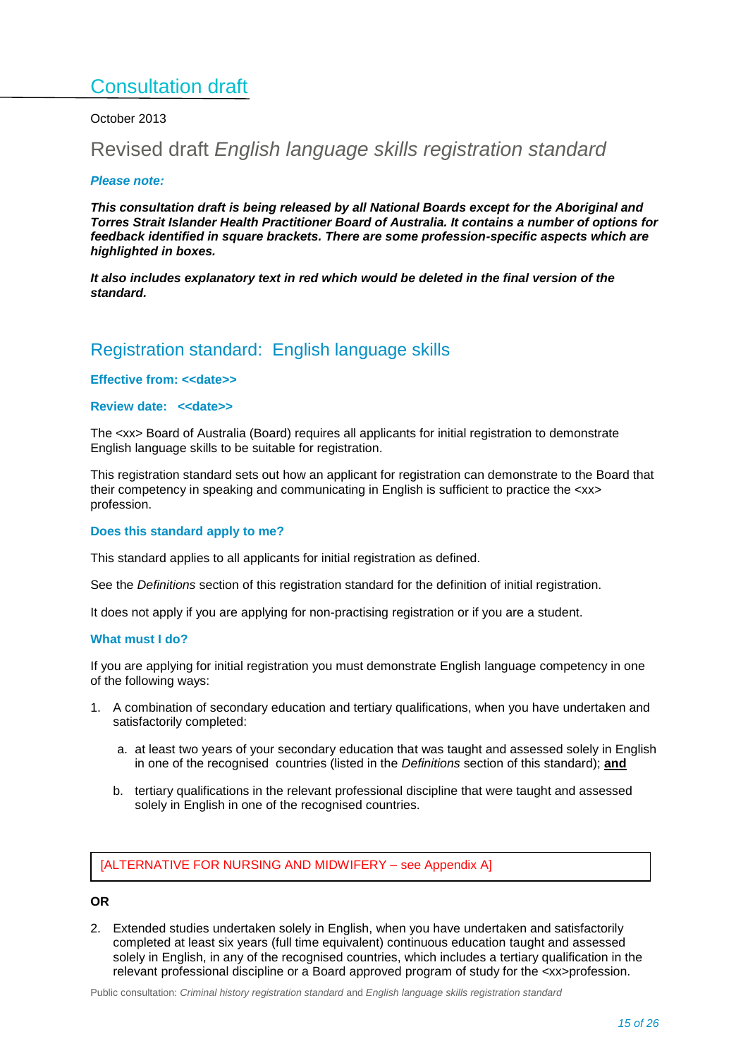# Consultation draft

# October 2013

# <span id="page-14-0"></span>Revised draft *English language skills registration standard*

#### *Please note:*

*This consultation draft is being released by all National Boards except for the Aboriginal and Torres Strait Islander Health Practitioner Board of Australia. It contains a number of options for feedback identified in square brackets. There are some profession-specific aspects which are highlighted in boxes.*

*It also includes explanatory text in red which would be deleted in the final version of the standard.*

# Registration standard: English language skills

### **Effective from: <<date>>**

# **Review date: <<date>>**

The <xx> Board of Australia (Board) requires all applicants for initial registration to demonstrate English language skills to be suitable for registration.

This registration standard sets out how an applicant for registration can demonstrate to the Board that their competency in speaking and communicating in English is sufficient to practice the <xx> profession.

#### **Does this standard apply to me?**

This standard applies to all applicants for initial registration as defined.

See the *Definitions* section of this registration standard for the definition of initial registration.

It does not apply if you are applying for non-practising registration or if you are a student.

#### **What must I do?**

If you are applying for initial registration you must demonstrate English language competency in one of the following ways:

- 1. A combination of secondary education and tertiary qualifications, when you have undertaken and satisfactorily completed:
	- a. at least two years of your secondary education that was taught and assessed solely in English in one of the recognised countries (listed in the *Definitions* section of this standard); **and**
	- b. tertiary qualifications in the relevant professional discipline that were taught and assessed solely in English in one of the recognised countries.

[ALTERNATIVE FOR NURSING AND MIDWIFERY – see Appendix A]

# **OR**

2. Extended studies undertaken solely in English, when you have undertaken and satisfactorily completed at least six years (full time equivalent) continuous education taught and assessed solely in English, in any of the recognised countries, which includes a tertiary qualification in the relevant professional discipline or a Board approved program of study for the <xx>profession.

Public consultation: *Criminal history registration standard* and *English language skills registration standard*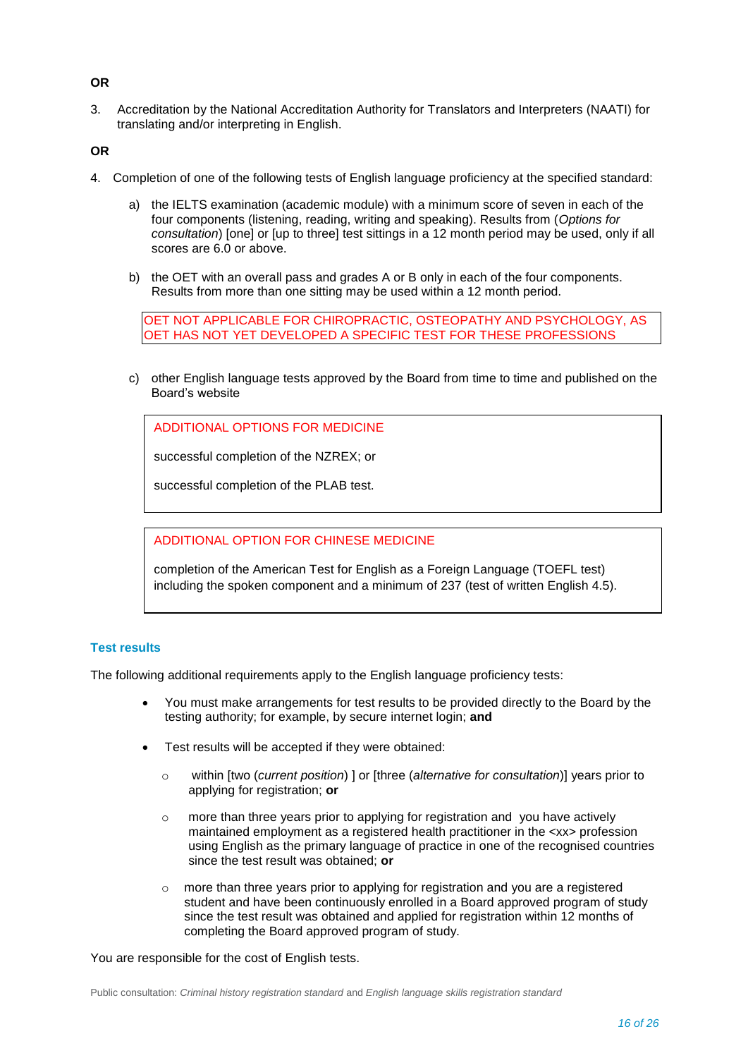# **OR**

3. Accreditation by the National Accreditation Authority for Translators and Interpreters (NAATI) for translating and/or interpreting in English.

**OR**

- 4. Completion of one of the following tests of English language proficiency at the specified standard:
	- a) the IELTS examination (academic module) with a minimum score of seven in each of the four components (listening, reading, writing and speaking). Results from (*Options for consultation*) [one] or [up to three] test sittings in a 12 month period may be used, only if all scores are 6.0 or above.
	- b) the OET with an overall pass and grades A or B only in each of the four components. Results from more than one sitting may be used within a 12 month period.

OET NOT APPLICABLE FOR CHIROPRACTIC, OSTEOPATHY AND PSYCHOLOGY, AS OET HAS NOT YET DEVELOPED A SPECIFIC TEST FOR THESE PROFESSIONS

c) other English language tests approved by the Board from time to time and published on the Board's website

ADDITIONAL OPTIONS FOR MEDICINE

successful completion of the NZREX; or

successful completion of the PLAB test.

### ADDITIONAL OPTION FOR CHINESE MEDICINE

completion of the American Test for English as a Foreign Language (TOEFL test) including the spoken component and a minimum of 237 (test of written English 4.5).

# **Test results**

The following additional requirements apply to the English language proficiency tests:

- You must make arrangements for test results to be provided directly to the Board by the testing authority; for example, by secure internet login; **and**
- Test results will be accepted if they were obtained:
	- o within [two (*current position*) ] or [three (*alternative for consultation*)] years prior to applying for registration; **or**
	- o more than three years prior to applying for registration and you have actively maintained employment as a registered health practitioner in the <xx> profession using English as the primary language of practice in one of the recognised countries since the test result was obtained; **or**
	- o more than three years prior to applying for registration and you are a registered student and have been continuously enrolled in a Board approved program of study since the test result was obtained and applied for registration within 12 months of completing the Board approved program of study.

You are responsible for the cost of English tests.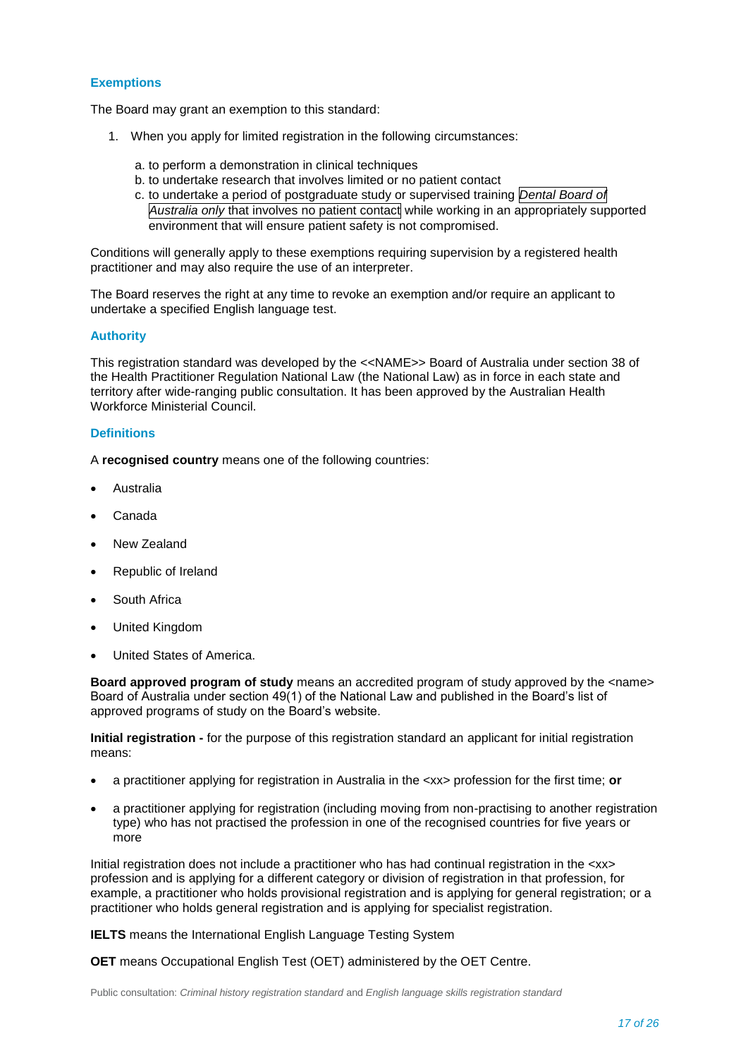### **Exemptions**

The Board may grant an exemption to this standard:

- 1. When you apply for limited registration in the following circumstances:
	- a. to perform a demonstration in clinical techniques
	- b. to undertake research that involves limited or no patient contact
	- c. to undertake a period of postgraduate study or supervised training *Dental Board of Australia only* that involves no patient contact while working in an appropriately supported environment that will ensure patient safety is not compromised.

Conditions will generally apply to these exemptions requiring supervision by a registered health practitioner and may also require the use of an interpreter.

The Board reserves the right at any time to revoke an exemption and/or require an applicant to undertake a specified English language test.

#### **Authority**

This registration standard was developed by the <<NAME>> Board of Australia under section 38 of the Health Practitioner Regulation National Law (the National Law) as in force in each state and territory after wide-ranging public consultation. It has been approved by the Australian Health Workforce Ministerial Council.

### **Definitions**

A **recognised country** means one of the following countries:

- Australia
- Canada
- New Zealand
- Republic of Ireland
- South Africa
- United Kingdom
- United States of America.

**Board approved program of study** means an accredited program of study approved by the <name> Board of Australia under section 49(1) of the National Law and published in the Board's list of approved programs of study on the Board's website.

**Initial registration -** for the purpose of this registration standard an applicant for initial registration means:

- a practitioner applying for registration in Australia in the <xx> profession for the first time; **or**
- a practitioner applying for registration (including moving from non-practising to another registration type) who has not practised the profession in one of the recognised countries for five years or more

Initial registration does not include a practitioner who has had continual registration in the <xx> profession and is applying for a different category or division of registration in that profession, for example, a practitioner who holds provisional registration and is applying for general registration; or a practitioner who holds general registration and is applying for specialist registration.

**IELTS** means the International English Language Testing System

**OET** means Occupational English Test (OET) administered by the OET Centre.

Public consultation: *Criminal history registration standard* and *English language skills registration standard*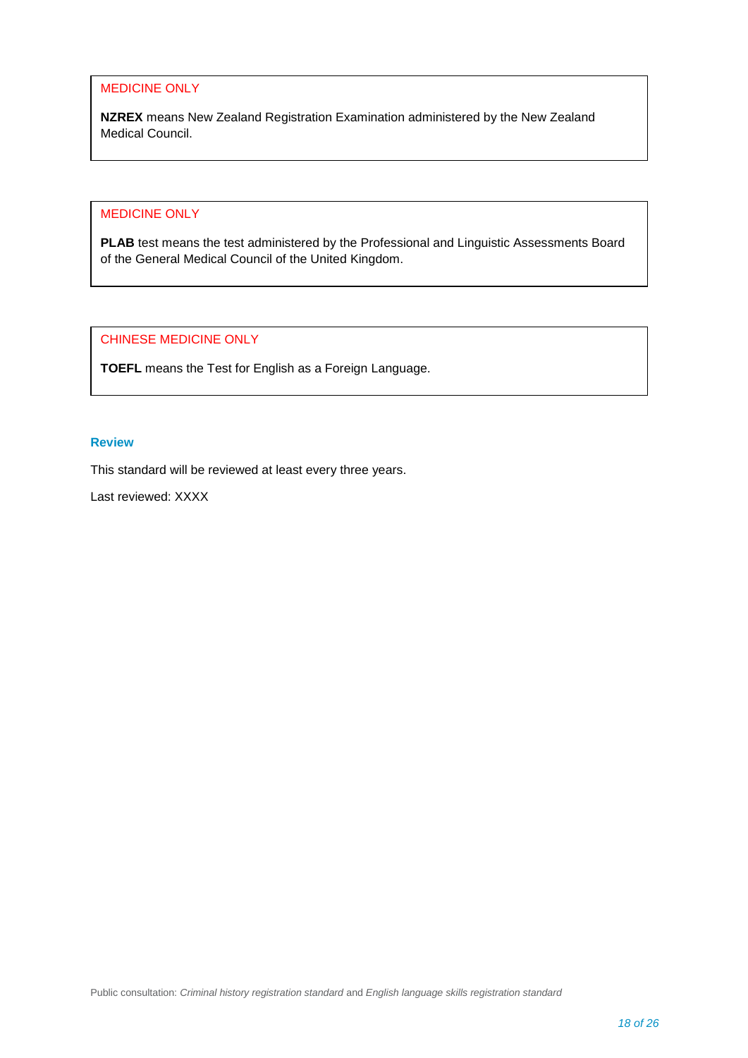# MEDICINE ONLY

**NZREX** means New Zealand Registration Examination administered by the New Zealand Medical Council.

# MEDICINE ONLY

**PLAB** test means the test administered by the Professional and Linguistic Assessments Board of the General Medical Council of the United Kingdom.

CHINESE MEDICINE ONLY

**TOEFL** means the Test for English as a Foreign Language.

# **Review**

This standard will be reviewed at least every three years.

Last reviewed: XXXX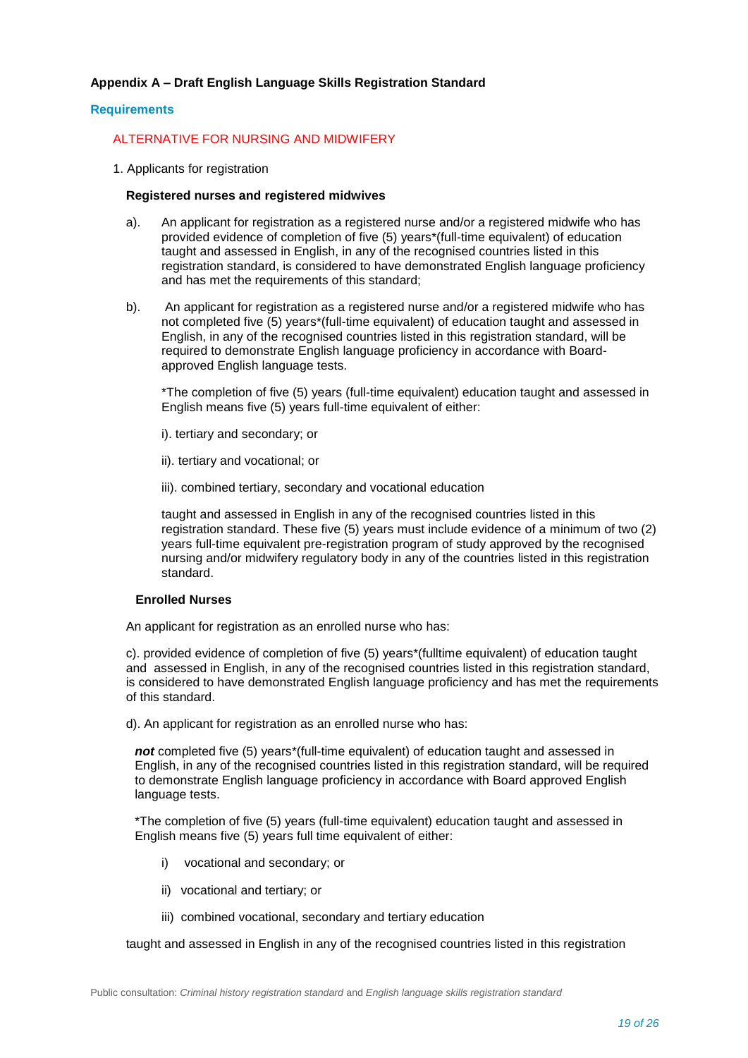# **Appendix A – Draft English Language Skills Registration Standard**

#### **Requirements**

# ALTERNATIVE FOR NURSING AND MIDWIFERY

1. Applicants for registration

#### **Registered nurses and registered midwives**

- a). An applicant for registration as a registered nurse and/or a registered midwife who has provided evidence of completion of five (5) years\*(full-time equivalent) of education taught and assessed in English, in any of the recognised countries listed in this registration standard, is considered to have demonstrated English language proficiency and has met the requirements of this standard;
- b). An applicant for registration as a registered nurse and/or a registered midwife who has not completed five (5) years\*(full-time equivalent) of education taught and assessed in English, in any of the recognised countries listed in this registration standard, will be required to demonstrate English language proficiency in accordance with Boardapproved English language tests.

\*The completion of five (5) years (full-time equivalent) education taught and assessed in English means five (5) years full-time equivalent of either:

- i). tertiary and secondary; or
- ii). tertiary and vocational; or
- iii). combined tertiary, secondary and vocational education

taught and assessed in English in any of the recognised countries listed in this registration standard. These five (5) years must include evidence of a minimum of two (2) years full-time equivalent pre-registration program of study approved by the recognised nursing and/or midwifery regulatory body in any of the countries listed in this registration standard.

#### **Enrolled Nurses**

An applicant for registration as an enrolled nurse who has:

c). provided evidence of completion of five (5) years\*(fulltime equivalent) of education taught and assessed in English, in any of the recognised countries listed in this registration standard, is considered to have demonstrated English language proficiency and has met the requirements of this standard.

d). An applicant for registration as an enrolled nurse who has:

*not* completed five (5) years\*(full-time equivalent) of education taught and assessed in English, in any of the recognised countries listed in this registration standard, will be required to demonstrate English language proficiency in accordance with Board approved English language tests.

\*The completion of five (5) years (full-time equivalent) education taught and assessed in English means five (5) years full time equivalent of either:

- i) vocational and secondary; or
- ii) vocational and tertiary; or
- iii) combined vocational, secondary and tertiary education

taught and assessed in English in any of the recognised countries listed in this registration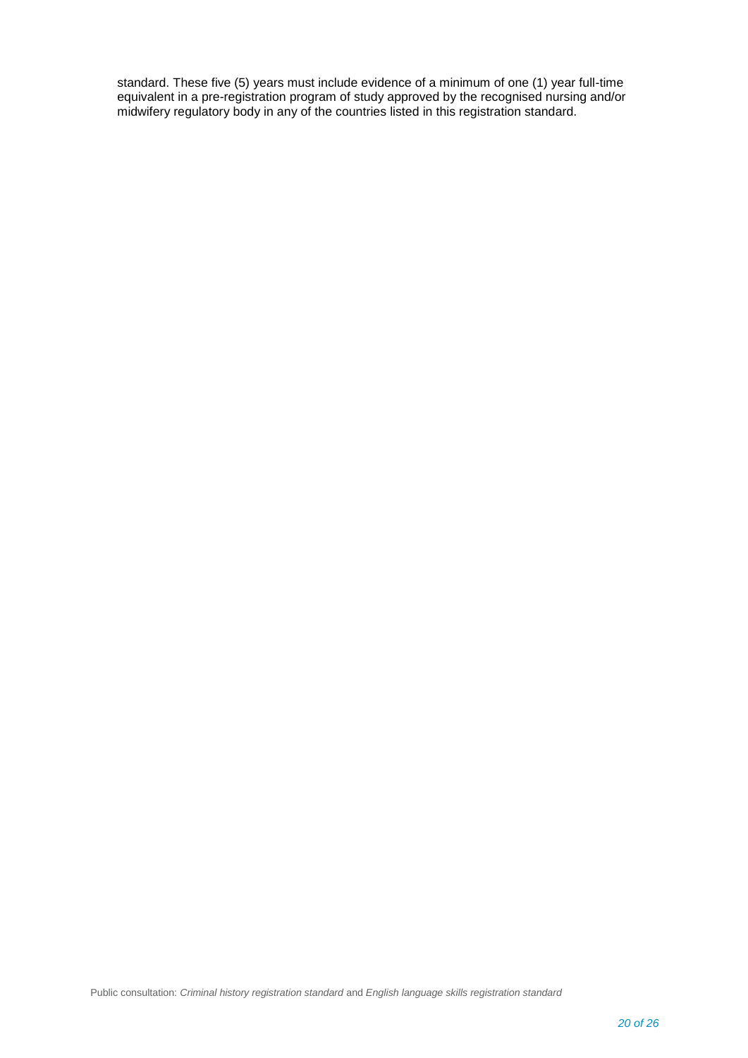standard. These five (5) years must include evidence of a minimum of one (1) year full-time equivalent in a pre-registration program of study approved by the recognised nursing and/or midwifery regulatory body in any of the countries listed in this registration standard.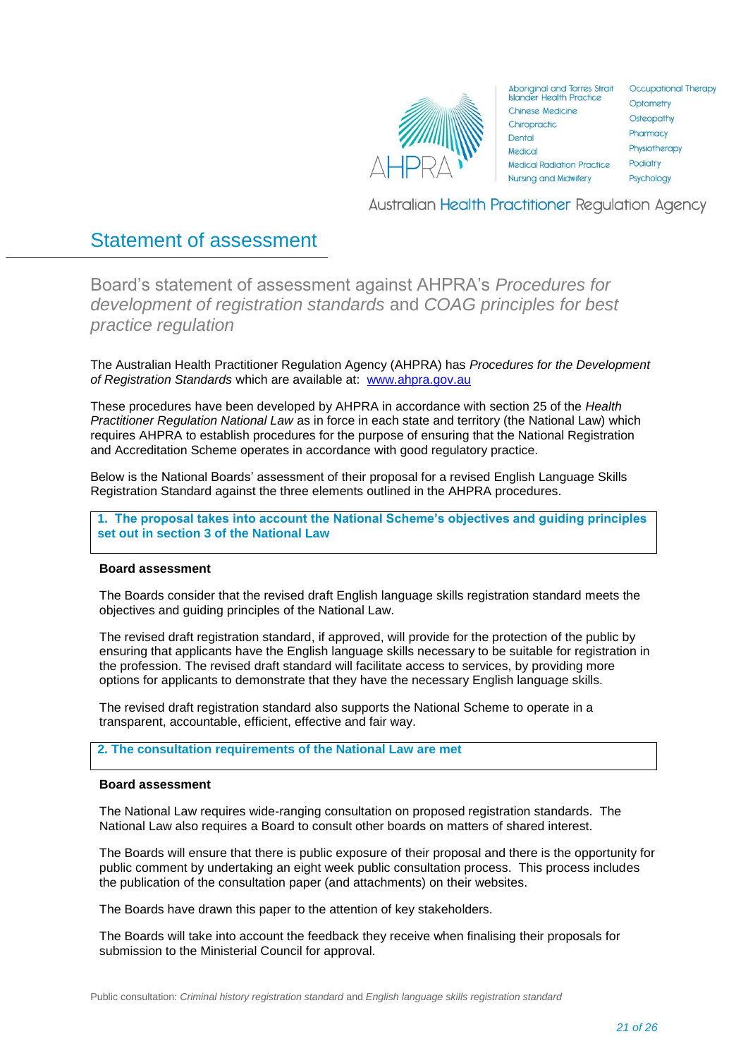

| <b>Aboriginal and Torres Strait</b><br><b>Islander Health Practice</b> |  |
|------------------------------------------------------------------------|--|
| Chinese Medicine                                                       |  |
| Chiropractic                                                           |  |
| Dental                                                                 |  |
| Medical                                                                |  |
| <b>Medical Radiation Practice</b>                                      |  |
| <b>Nursing and Midwifery</b>                                           |  |
|                                                                        |  |

Occupational Therapy Optometry Osteopathy Pharmacy Physiotherapy Podiatry Psychology

Australian Health Practitioner Regulation Agency

# Statement of assessment

<span id="page-20-0"></span>Board's statement of assessment against AHPRA's *Procedures for development of registration standards* and *COAG principles for best practice regulation*

The Australian Health Practitioner Regulation Agency (AHPRA) has *Procedures for the Development of Registration Standards* which are available at: [www.ahpra.gov.au](http://www.ahpra.gov.au/)

These procedures have been developed by AHPRA in accordance with section 25 of the *Health Practitioner Regulation National Law* as in force in each state and territory (the National Law) which requires AHPRA to establish procedures for the purpose of ensuring that the National Registration and Accreditation Scheme operates in accordance with good regulatory practice.

Below is the National Boards' assessment of their proposal for a revised English Language Skills Registration Standard against the three elements outlined in the AHPRA procedures.

**1. The proposal takes into account the National Scheme's objectives and guiding principles set out in section 3 of the National Law**

#### **Board assessment**

The Boards consider that the revised draft English language skills registration standard meets the objectives and guiding principles of the National Law.

The revised draft registration standard, if approved, will provide for the protection of the public by ensuring that applicants have the English language skills necessary to be suitable for registration in the profession. The revised draft standard will facilitate access to services, by providing more options for applicants to demonstrate that they have the necessary English language skills.

The revised draft registration standard also supports the National Scheme to operate in a transparent, accountable, efficient, effective and fair way.

# **2. The consultation requirements of the National Law are met**

#### **Board assessment**

The National Law requires wide-ranging consultation on proposed registration standards. The National Law also requires a Board to consult other boards on matters of shared interest.

The Boards will ensure that there is public exposure of their proposal and there is the opportunity for public comment by undertaking an eight week public consultation process. This process includes the publication of the consultation paper (and attachments) on their websites.

The Boards have drawn this paper to the attention of key stakeholders.

The Boards will take into account the feedback they receive when finalising their proposals for submission to the Ministerial Council for approval.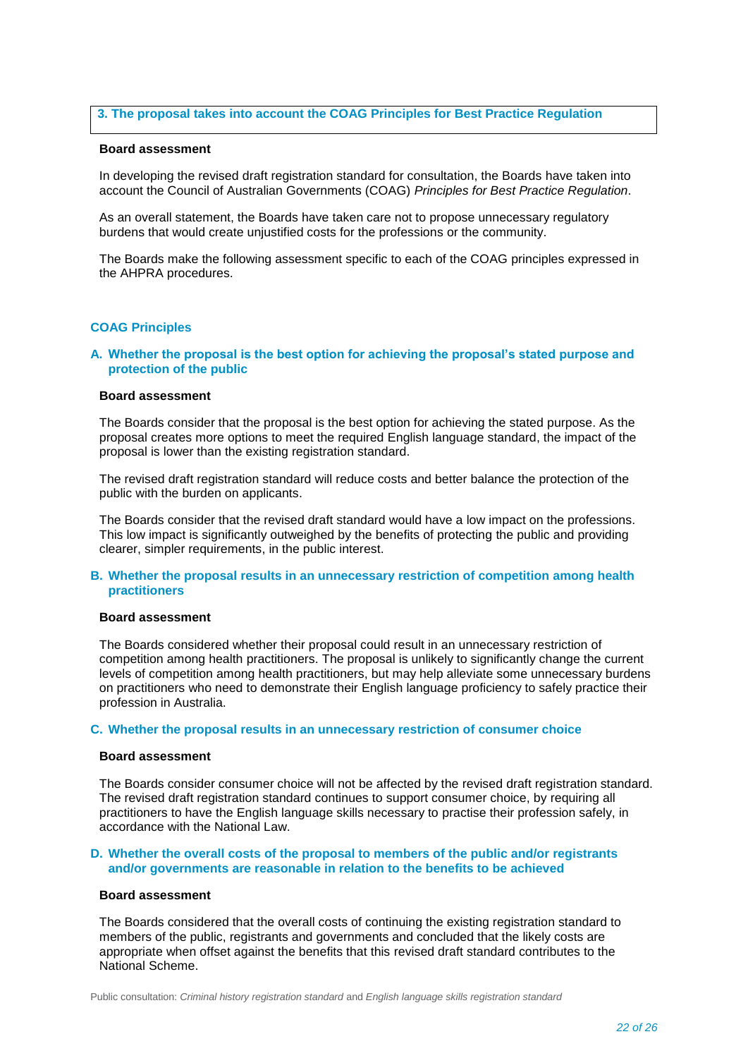### **3. The proposal takes into account the COAG Principles for Best Practice Regulation**

#### **Board assessment**

In developing the revised draft registration standard for consultation, the Boards have taken into account the Council of Australian Governments (COAG) *Principles for Best Practice Regulation*.

As an overall statement, the Boards have taken care not to propose unnecessary regulatory burdens that would create unjustified costs for the professions or the community.

The Boards make the following assessment specific to each of the COAG principles expressed in the AHPRA procedures.

#### **COAG Principles**

#### **A. Whether the proposal is the best option for achieving the proposal's stated purpose and protection of the public**

#### **Board assessment**

The Boards consider that the proposal is the best option for achieving the stated purpose. As the proposal creates more options to meet the required English language standard, the impact of the proposal is lower than the existing registration standard.

The revised draft registration standard will reduce costs and better balance the protection of the public with the burden on applicants.

The Boards consider that the revised draft standard would have a low impact on the professions. This low impact is significantly outweighed by the benefits of protecting the public and providing clearer, simpler requirements, in the public interest.

#### **B. Whether the proposal results in an unnecessary restriction of competition among health practitioners**

#### **Board assessment**

The Boards considered whether their proposal could result in an unnecessary restriction of competition among health practitioners. The proposal is unlikely to significantly change the current levels of competition among health practitioners, but may help alleviate some unnecessary burdens on practitioners who need to demonstrate their English language proficiency to safely practice their profession in Australia.

#### **C. Whether the proposal results in an unnecessary restriction of consumer choice**

#### **Board assessment**

The Boards consider consumer choice will not be affected by the revised draft registration standard. The revised draft registration standard continues to support consumer choice, by requiring all practitioners to have the English language skills necessary to practise their profession safely, in accordance with the National Law.

#### **D. Whether the overall costs of the proposal to members of the public and/or registrants and/or governments are reasonable in relation to the benefits to be achieved**

#### **Board assessment**

The Boards considered that the overall costs of continuing the existing registration standard to members of the public, registrants and governments and concluded that the likely costs are appropriate when offset against the benefits that this revised draft standard contributes to the National Scheme.

Public consultation: *Criminal history registration standard* and *English language skills registration standard*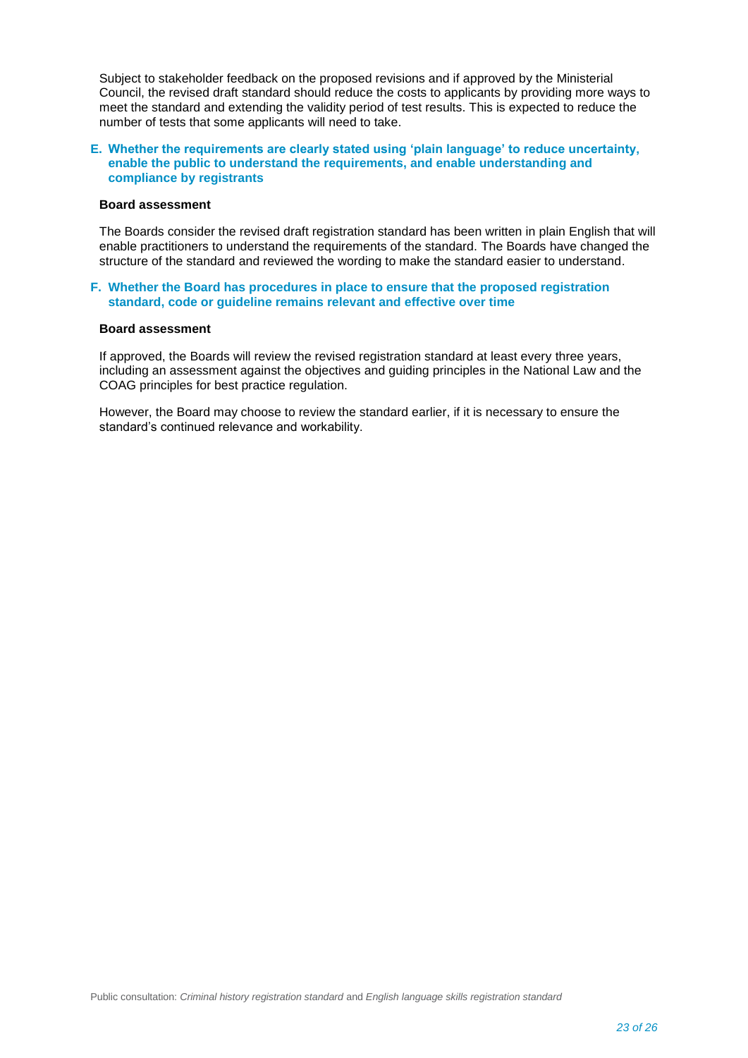Subject to stakeholder feedback on the proposed revisions and if approved by the Ministerial Council, the revised draft standard should reduce the costs to applicants by providing more ways to meet the standard and extending the validity period of test results. This is expected to reduce the number of tests that some applicants will need to take.

#### **E. Whether the requirements are clearly stated using 'plain language' to reduce uncertainty, enable the public to understand the requirements, and enable understanding and compliance by registrants**

#### **Board assessment**

The Boards consider the revised draft registration standard has been written in plain English that will enable practitioners to understand the requirements of the standard. The Boards have changed the structure of the standard and reviewed the wording to make the standard easier to understand.

#### **F. Whether the Board has procedures in place to ensure that the proposed registration standard, code or guideline remains relevant and effective over time**

#### **Board assessment**

If approved, the Boards will review the revised registration standard at least every three years, including an assessment against the objectives and guiding principles in the National Law and the COAG principles for best practice regulation.

However, the Board may choose to review the standard earlier, if it is necessary to ensure the standard's continued relevance and workability.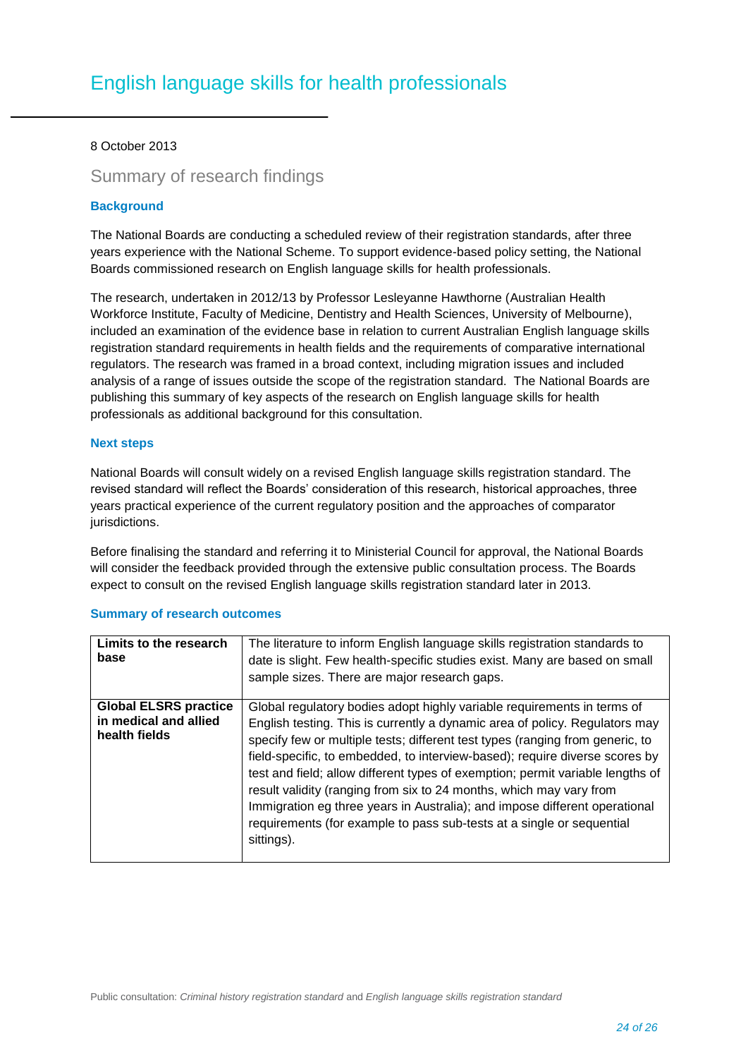# 8 October 2013

# Summary of research findings

# **Background**

The National Boards are conducting a scheduled review of their registration standards, after three years experience with the National Scheme. To support evidence-based policy setting, the National Boards commissioned research on English language skills for health professionals.

The research, undertaken in 2012/13 by Professor Lesleyanne Hawthorne (Australian Health Workforce Institute, Faculty of Medicine, Dentistry and Health Sciences, University of Melbourne), included an examination of the evidence base in relation to current Australian English language skills registration standard requirements in health fields and the requirements of comparative international regulators. The research was framed in a broad context, including migration issues and included analysis of a range of issues outside the scope of the registration standard. The National Boards are publishing this summary of key aspects of the research on English language skills for health professionals as additional background for this consultation.

# **Next steps**

National Boards will consult widely on a revised English language skills registration standard. The revised standard will reflect the Boards' consideration of this research, historical approaches, three years practical experience of the current regulatory position and the approaches of comparator jurisdictions.

Before finalising the standard and referring it to Ministerial Council for approval, the National Boards will consider the feedback provided through the extensive public consultation process. The Boards expect to consult on the revised English language skills registration standard later in 2013.

| Limits to the research<br>base                                         | The literature to inform English language skills registration standards to<br>date is slight. Few health-specific studies exist. Many are based on small<br>sample sizes. There are major research gaps.                                                                                                                                                                                                                                                                                                                                                                                                                                             |
|------------------------------------------------------------------------|------------------------------------------------------------------------------------------------------------------------------------------------------------------------------------------------------------------------------------------------------------------------------------------------------------------------------------------------------------------------------------------------------------------------------------------------------------------------------------------------------------------------------------------------------------------------------------------------------------------------------------------------------|
| <b>Global ELSRS practice</b><br>in medical and allied<br>health fields | Global regulatory bodies adopt highly variable requirements in terms of<br>English testing. This is currently a dynamic area of policy. Regulators may<br>specify few or multiple tests; different test types (ranging from generic, to<br>field-specific, to embedded, to interview-based); require diverse scores by<br>test and field; allow different types of exemption; permit variable lengths of<br>result validity (ranging from six to 24 months, which may vary from<br>Immigration eg three years in Australia); and impose different operational<br>requirements (for example to pass sub-tests at a single or sequential<br>sittings). |

# **Summary of research outcomes**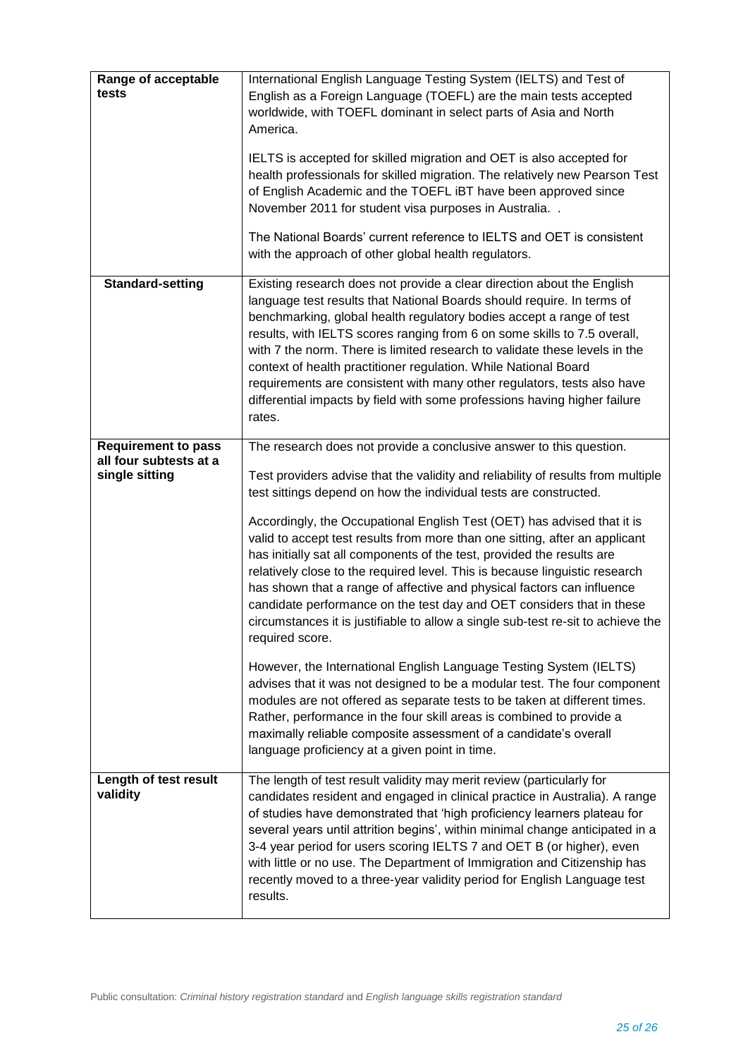| Range of acceptable<br>tests                                           | International English Language Testing System (IELTS) and Test of<br>English as a Foreign Language (TOEFL) are the main tests accepted<br>worldwide, with TOEFL dominant in select parts of Asia and North<br>America.<br>IELTS is accepted for skilled migration and OET is also accepted for<br>health professionals for skilled migration. The relatively new Pearson Test<br>of English Academic and the TOEFL IBT have been approved since<br>November 2011 for student visa purposes in Australia<br>The National Boards' current reference to IELTS and OET is consistent<br>with the approach of other global health regulators.                                                                                                                                                                                                                                                                                                                                                                                                                                                                                                                                                                                                |
|------------------------------------------------------------------------|-----------------------------------------------------------------------------------------------------------------------------------------------------------------------------------------------------------------------------------------------------------------------------------------------------------------------------------------------------------------------------------------------------------------------------------------------------------------------------------------------------------------------------------------------------------------------------------------------------------------------------------------------------------------------------------------------------------------------------------------------------------------------------------------------------------------------------------------------------------------------------------------------------------------------------------------------------------------------------------------------------------------------------------------------------------------------------------------------------------------------------------------------------------------------------------------------------------------------------------------|
| Standard-setting                                                       | Existing research does not provide a clear direction about the English<br>language test results that National Boards should require. In terms of<br>benchmarking, global health regulatory bodies accept a range of test<br>results, with IELTS scores ranging from 6 on some skills to 7.5 overall,<br>with 7 the norm. There is limited research to validate these levels in the<br>context of health practitioner regulation. While National Board<br>requirements are consistent with many other regulators, tests also have<br>differential impacts by field with some professions having higher failure<br>rates.                                                                                                                                                                                                                                                                                                                                                                                                                                                                                                                                                                                                                 |
| <b>Requirement to pass</b><br>all four subtests at a<br>single sitting | The research does not provide a conclusive answer to this question.<br>Test providers advise that the validity and reliability of results from multiple<br>test sittings depend on how the individual tests are constructed.<br>Accordingly, the Occupational English Test (OET) has advised that it is<br>valid to accept test results from more than one sitting, after an applicant<br>has initially sat all components of the test, provided the results are<br>relatively close to the required level. This is because linguistic research<br>has shown that a range of affective and physical factors can influence<br>candidate performance on the test day and OET considers that in these<br>circumstances it is justifiable to allow a single sub-test re-sit to achieve the<br>required score.<br>However, the International English Language Testing System (IELTS)<br>advises that it was not designed to be a modular test. The four component<br>modules are not offered as separate tests to be taken at different times.<br>Rather, performance in the four skill areas is combined to provide a<br>maximally reliable composite assessment of a candidate's overall<br>language proficiency at a given point in time. |
| Length of test result<br>validity                                      | The length of test result validity may merit review (particularly for<br>candidates resident and engaged in clinical practice in Australia). A range<br>of studies have demonstrated that 'high proficiency learners plateau for<br>several years until attrition begins', within minimal change anticipated in a<br>3-4 year period for users scoring IELTS 7 and OET B (or higher), even<br>with little or no use. The Department of Immigration and Citizenship has<br>recently moved to a three-year validity period for English Language test<br>results.                                                                                                                                                                                                                                                                                                                                                                                                                                                                                                                                                                                                                                                                          |